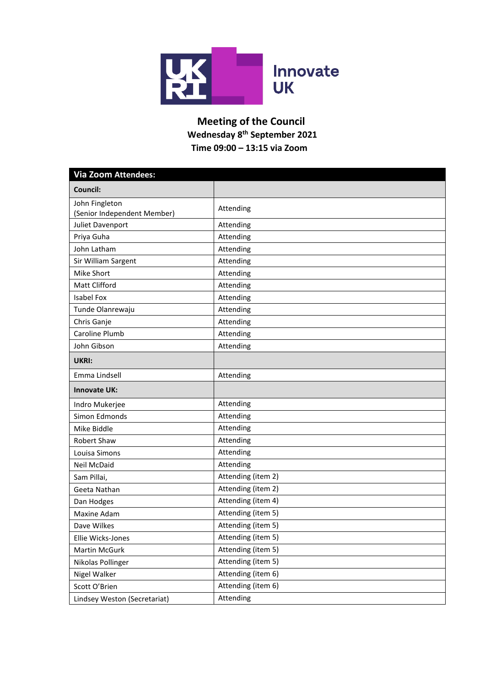

## **Meeting of the Council Wednesday 8 th September 2021 Time 09:00 – 13:15 via Zoom**

| <b>Via Zoom Attendees:</b>                    |                    |  |  |
|-----------------------------------------------|--------------------|--|--|
| <b>Council:</b>                               |                    |  |  |
| John Fingleton<br>(Senior Independent Member) | Attending          |  |  |
| Juliet Davenport                              | Attending          |  |  |
| Priya Guha                                    | Attending          |  |  |
| John Latham                                   | Attending          |  |  |
| Sir William Sargent                           | Attending          |  |  |
| Mike Short                                    | Attending          |  |  |
| <b>Matt Clifford</b>                          | Attending          |  |  |
| <b>Isabel Fox</b>                             | Attending          |  |  |
| Tunde Olanrewaju                              | Attending          |  |  |
| Chris Ganje                                   | Attending          |  |  |
| Caroline Plumb                                | Attending          |  |  |
| John Gibson                                   | Attending          |  |  |
| <b>UKRI:</b>                                  |                    |  |  |
| Emma Lindsell                                 | Attending          |  |  |
| <b>Innovate UK:</b>                           |                    |  |  |
| Indro Mukerjee                                | Attending          |  |  |
| Simon Edmonds                                 | Attending          |  |  |
| Mike Biddle                                   | Attending          |  |  |
| Robert Shaw                                   | Attending          |  |  |
| Louisa Simons                                 | Attending          |  |  |
| <b>Neil McDaid</b>                            | Attending          |  |  |
| Sam Pillai,                                   | Attending (item 2) |  |  |
| Geeta Nathan                                  | Attending (item 2) |  |  |
| Dan Hodges                                    | Attending (item 4) |  |  |
| Maxine Adam                                   | Attending (item 5) |  |  |
| Dave Wilkes                                   | Attending (item 5) |  |  |
| Ellie Wicks-Jones                             | Attending (item 5) |  |  |
| Martin McGurk                                 | Attending (item 5) |  |  |
| Nikolas Pollinger                             | Attending (item 5) |  |  |
| Nigel Walker                                  | Attending (item 6) |  |  |
| Scott O'Brien                                 | Attending (item 6) |  |  |
| Lindsey Weston (Secretariat)                  | Attending          |  |  |